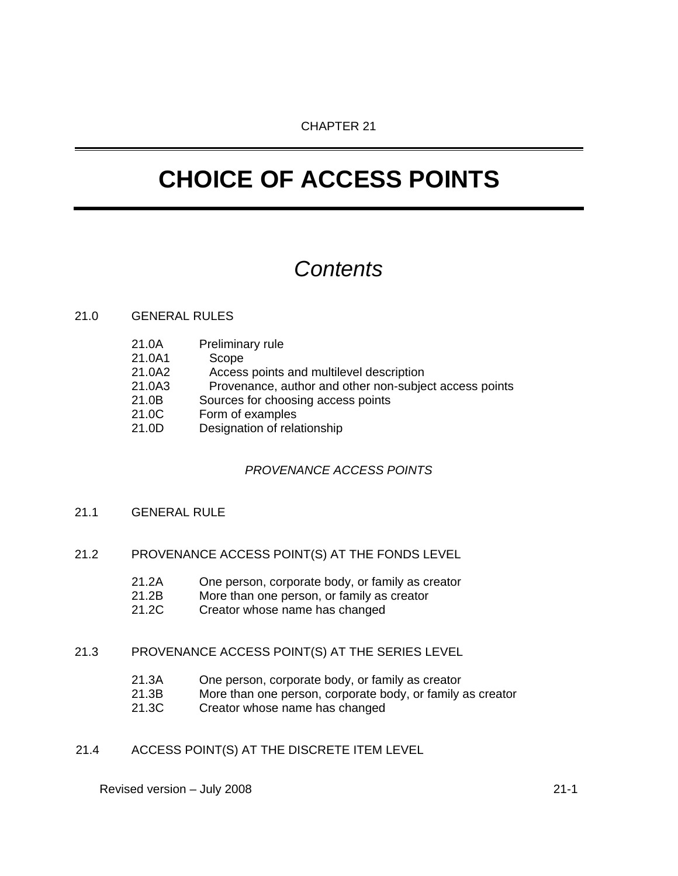# **CHOICE OF ACCESS POINTS**

## *Contents*

## 21.0 GENERAL RULES

- 21.0A Preliminary rule
- 21.0A1 Scope
- 21.0A2 Access points and multilevel description
- 21.0A3 Provenance, author and other non-subject access points
- 21.0B Sources for choosing access points
- 21.0C Form of examples
- 21.0D Designation of relationship

## *PROVENANCE ACCESS POINTS*

- 21.1 GENERAL RULE
- 21.2 PROVENANCE ACCESS POINT(S) AT THE FONDS LEVEL
	- 21.2A One person, corporate body, or family as creator
	- 21.2B More than one person, or family as creator
	- 21.2C Creator whose name has changed

## 21.3 PROVENANCE ACCESS POINT(S) AT THE SERIES LEVEL

- 21.3A One person, corporate body, or family as creator
- 21.3B More than one person, corporate body, or family as creator
- 21.3C Creator whose name has changed
- 21.4 ACCESS POINT(S) AT THE DISCRETE ITEM LEVEL

Revised version – July 2008 21-1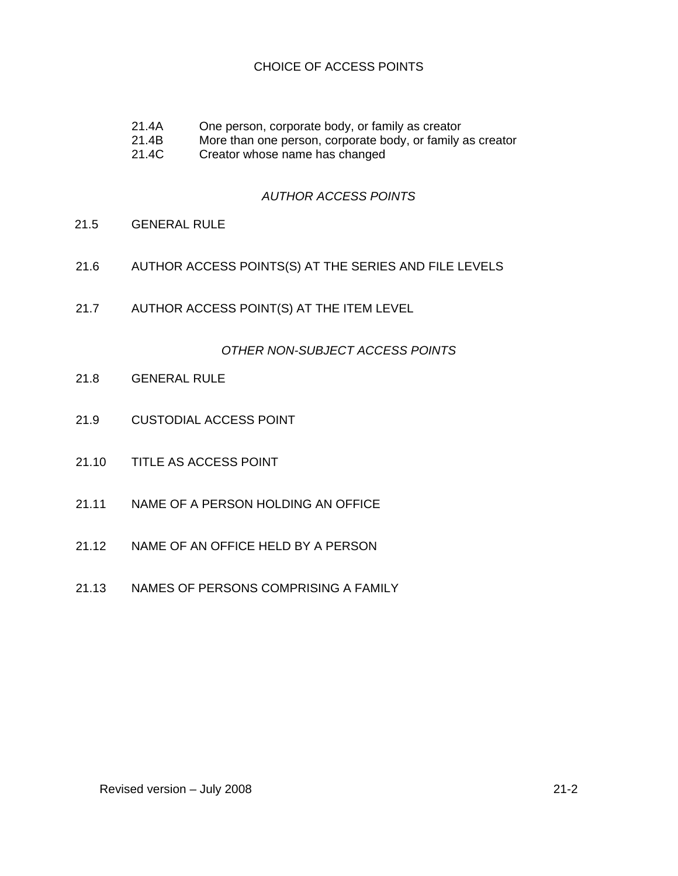## CHOICE OF ACCESS POINTS

- 21.4A One person, corporate body, or family as creator<br>21.4B More than one person, corporate body, or family a
- 21.4B More than one person, corporate body, or family as creator<br>21.4C Creator whose name has changed
- Creator whose name has changed

## *AUTHOR ACCESS POINTS*

- 21.5 GENERAL RULE
- 21.6 AUTHOR ACCESS POINTS(S) AT THE SERIES AND FILE LEVELS
- 21.7 AUTHOR ACCESS POINT(S) AT THE ITEM LEVEL

#### *OTHER NON-SUBJECT ACCESS POINTS*

- 21.8 GENERAL RULE
- 21.9 CUSTODIAL ACCESS POINT
- 21.10 TITLE AS ACCESS POINT
- 21.11 NAME OF A PERSON HOLDING AN OFFICE
- 21.12 NAME OF AN OFFICE HELD BY A PERSON
- 21.13 NAMES OF PERSONS COMPRISING A FAMILY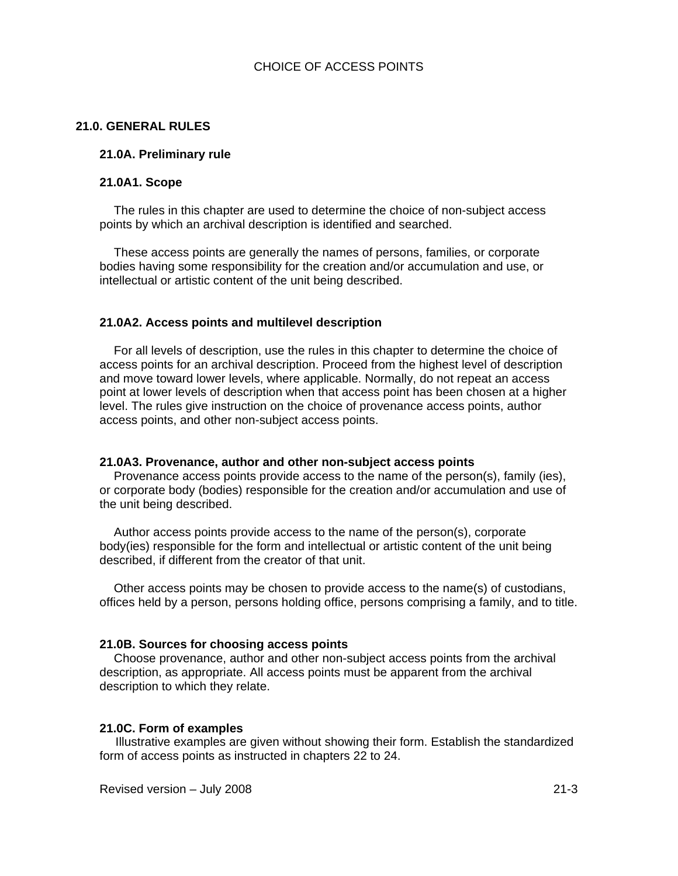#### **21.0. GENERAL RULES**

#### **21.0A. Preliminary rule**

#### **21.0A1. Scope**

The rules in this chapter are used to determine the choice of non-subject access points by which an archival description is identified and searched.

These access points are generally the names of persons, families, or corporate bodies having some responsibility for the creation and/or accumulation and use, or intellectual or artistic content of the unit being described.

#### **21.0A2. Access points and multilevel description**

For all levels of description, use the rules in this chapter to determine the choice of access points for an archival description. Proceed from the highest level of description and move toward lower levels, where applicable. Normally, do not repeat an access point at lower levels of description when that access point has been chosen at a higher level. The rules give instruction on the choice of provenance access points, author access points, and other non-subject access points.

#### **21.0A3. Provenance, author and other non-subject access points**

Provenance access points provide access to the name of the person(s), family (ies), or corporate body (bodies) responsible for the creation and/or accumulation and use of the unit being described.

Author access points provide access to the name of the person(s), corporate body(ies) responsible for the form and intellectual or artistic content of the unit being described, if different from the creator of that unit.

Other access points may be chosen to provide access to the name(s) of custodians, offices held by a person, persons holding office, persons comprising a family, and to title.

#### **21.0B. Sources for choosing access points**

Choose provenance, author and other non-subject access points from the archival description, as appropriate. All access points must be apparent from the archival description to which they relate.

#### **21.0C. Form of examples**

Illustrative examples are given without showing their form. Establish the standardized form of access points as instructed in chapters 22 to 24.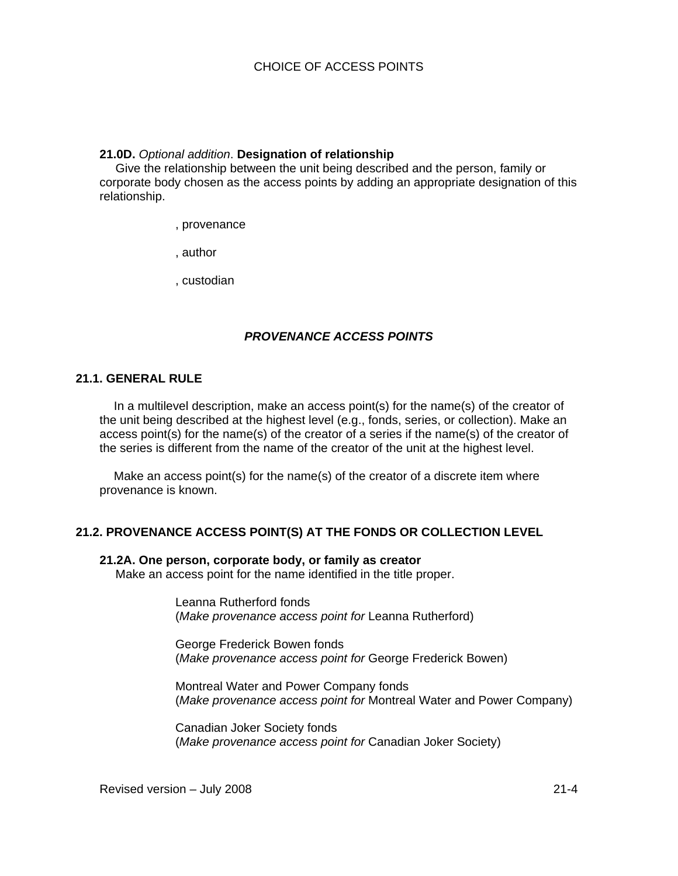#### **21.0D.** *Optional addition*. **Designation of relationship**

Give the relationship between the unit being described and the person, family or corporate body chosen as the access points by adding an appropriate designation of this relationship.

, provenance

, author

, custodian

## *PROVENANCE ACCESS POINTS*

## **21.1. GENERAL RULE**

In a multilevel description, make an access point(s) for the name(s) of the creator of the unit being described at the highest level (e.g., fonds, series, or collection). Make an access point(s) for the name(s) of the creator of a series if the name(s) of the creator of the series is different from the name of the creator of the unit at the highest level.

Make an access point(s) for the name(s) of the creator of a discrete item where provenance is known.

## **21.2. PROVENANCE ACCESS POINT(S) AT THE FONDS OR COLLECTION LEVEL**

#### **21.2A. One person, corporate body, or family as creator**

Make an access point for the name identified in the title proper.

Leanna Rutherford fonds (*Make provenance access point for* Leanna Rutherford)

George Frederick Bowen fonds (*Make provenance access point for* George Frederick Bowen)

Montreal Water and Power Company fonds (*Make provenance access point for* Montreal Water and Power Company)

Canadian Joker Society fonds (*Make provenance access point for* Canadian Joker Society)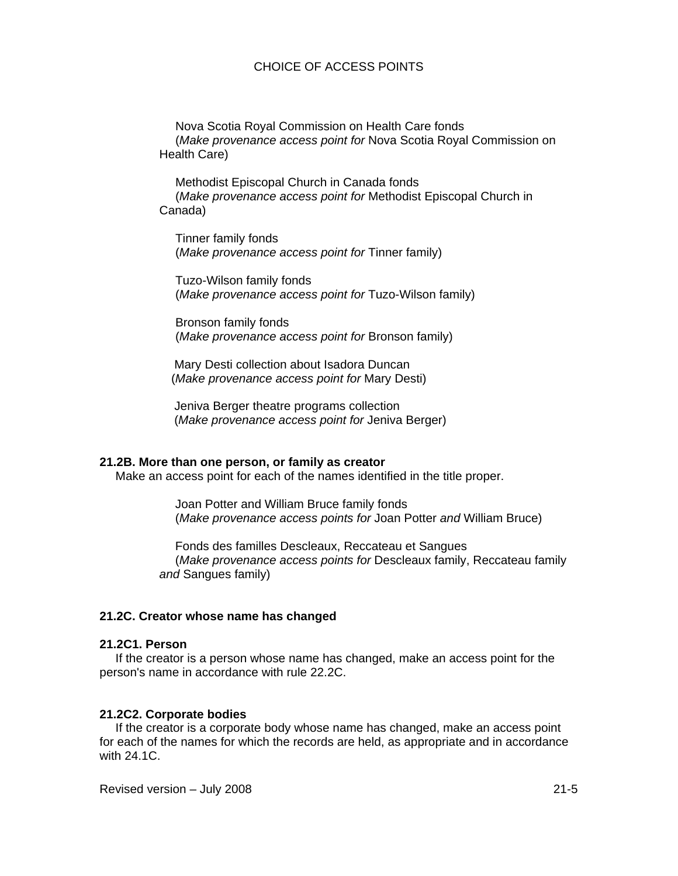## CHOICE OF ACCESS POINTS

Nova Scotia Royal Commission on Health Care fonds (*Make provenance access point for* Nova Scotia Royal Commission on Health Care)

Methodist Episcopal Church in Canada fonds (*Make provenance access point for* Methodist Episcopal Church in Canada)

Tinner family fonds (*Make provenance access point for* Tinner family)

Tuzo-Wilson family fonds (*Make provenance access point for* Tuzo-Wilson family)

Bronson family fonds (*Make provenance access point for* Bronson family)

Mary Desti collection about Isadora Duncan (*Make provenance access point for* Mary Desti)

Jeniva Berger theatre programs collection (*Make provenance access point for* Jeniva Berger)

#### **21.2B. More than one person, or family as creator**

Make an access point for each of the names identified in the title proper.

Joan Potter and William Bruce family fonds (*Make provenance access points for* Joan Potter *and* William Bruce)

Fonds des familles Descleaux, Reccateau et Sangues (*Make provenance access points for* Descleaux family, Reccateau family *and* Sangues family)

#### **21.2C. Creator whose name has changed**

#### **21.2C1. Person**

If the creator is a person whose name has changed, make an access point for the person's name in accordance with rule 22.2C.

#### **21.2C2. Corporate bodies**

If the creator is a corporate body whose name has changed, make an access point for each of the names for which the records are held, as appropriate and in accordance with 24.1C.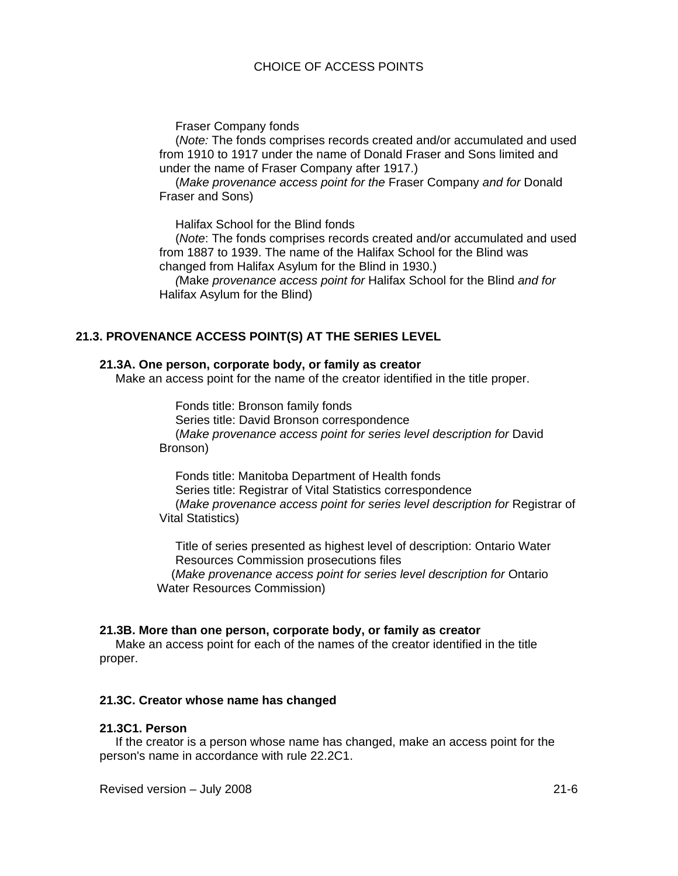Fraser Company fonds

(*Note:* The fonds comprises records created and/or accumulated and used from 1910 to 1917 under the name of Donald Fraser and Sons limited and under the name of Fraser Company after 1917.)

(*Make provenance access point for the* Fraser Company *and for* Donald Fraser and Sons)

Halifax School for the Blind fonds

(*Note*: The fonds comprises records created and/or accumulated and used from 1887 to 1939. The name of the Halifax School for the Blind was changed from Halifax Asylum for the Blind in 1930.)

*(*Make *provenance access point for* Halifax School for the Blind *and for* Halifax Asylum for the Blind)

## **21.3. PROVENANCE ACCESS POINT(S) AT THE SERIES LEVEL**

#### **21.3A. One person, corporate body, or family as creator**

Make an access point for the name of the creator identified in the title proper.

Fonds title: Bronson family fonds

Series title: David Bronson correspondence (*Make provenance access point for series level description for* David Bronson)

Fonds title: Manitoba Department of Health fonds Series title: Registrar of Vital Statistics correspondence (*Make provenance access point for series level description for* Registrar of Vital Statistics)

Title of series presented as highest level of description: Ontario Water Resources Commission prosecutions files

(*Make provenance access point for series level description for* Ontario Water Resources Commission)

#### **21.3B. More than one person, corporate body, or family as creator**

Make an access point for each of the names of the creator identified in the title proper.

#### **21.3C. Creator whose name has changed**

#### **21.3C1. Person**

If the creator is a person whose name has changed, make an access point for the person's name in accordance with rule 22.2C1.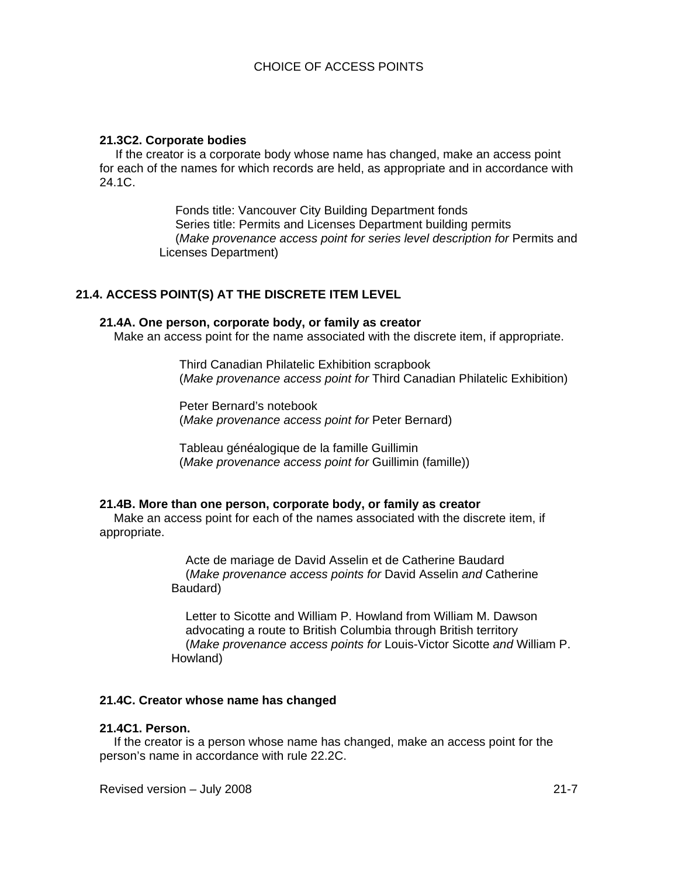## **21.3C2. Corporate bodies**

If the creator is a corporate body whose name has changed, make an access point for each of the names for which records are held, as appropriate and in accordance with 24.1C.

> Fonds title: Vancouver City Building Department fonds Series title: Permits and Licenses Department building permits (*Make provenance access point for series level description for* Permits and Licenses Department)

## **21.4. ACCESS POINT(S) AT THE DISCRETE ITEM LEVEL**

## **21.4A. One person, corporate body, or family as creator**

Make an access point for the name associated with the discrete item, if appropriate.

Third Canadian Philatelic Exhibition scrapbook (*Make provenance access point for* Third Canadian Philatelic Exhibition)

Peter Bernard's notebook (*Make provenance access point for* Peter Bernard)

Tableau généalogique de la famille Guillimin (*Make provenance access point for* Guillimin (famille))

#### **21.4B. More than one person, corporate body, or family as creator**

Make an access point for each of the names associated with the discrete item, if appropriate.

> Acte de mariage de David Asselin et de Catherine Baudard (*Make provenance access points for* David Asselin *and* Catherine Baudard)

Letter to Sicotte and William P. Howland from William M. Dawson advocating a route to British Columbia through British territory (*Make provenance access points for* Louis-Victor Sicotte *and* William P. Howland)

## **21.4C. Creator whose name has changed**

#### **21.4C1. Person.**

If the creator is a person whose name has changed, make an access point for the person's name in accordance with rule 22.2C.

Revised version – July 2008 21-7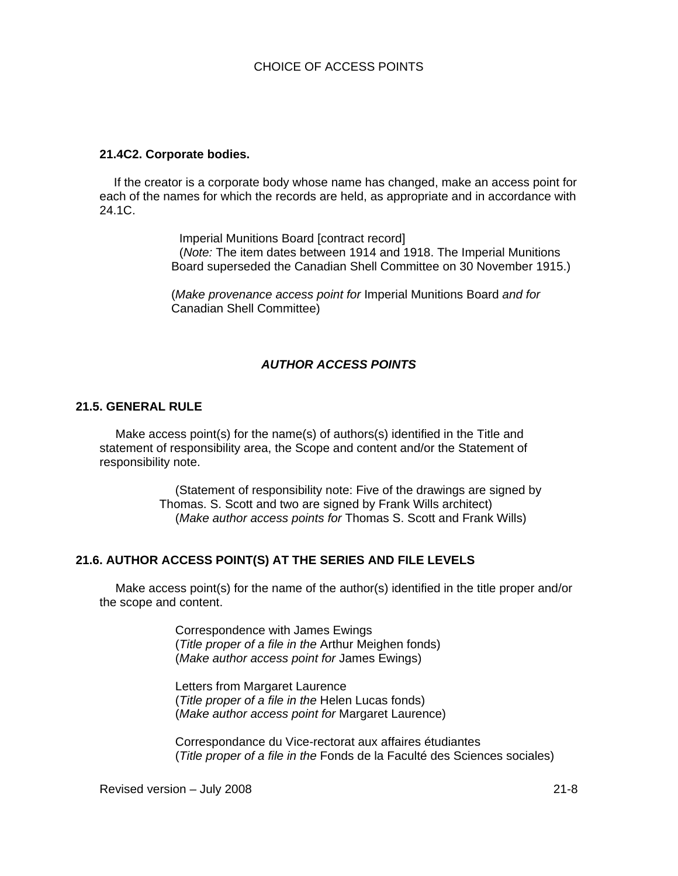#### **21.4C2. Corporate bodies.**

If the creator is a corporate body whose name has changed, make an access point for each of the names for which the records are held, as appropriate and in accordance with 24.1C.

> Imperial Munitions Board [contract record] (*Note:* The item dates between 1914 and 1918. The Imperial Munitions Board superseded the Canadian Shell Committee on 30 November 1915.)

(*Make provenance access point for* Imperial Munitions Board *and for*  Canadian Shell Committee)

## *AUTHOR ACCESS POINTS*

#### **21.5. GENERAL RULE**

Make access point(s) for the name(s) of authors(s) identified in the Title and statement of responsibility area, the Scope and content and/or the Statement of responsibility note.

> (Statement of responsibility note: Five of the drawings are signed by Thomas. S. Scott and two are signed by Frank Wills architect) (*Make author access points for* Thomas S. Scott and Frank Wills)

## **21.6. AUTHOR ACCESS POINT(S) AT THE SERIES AND FILE LEVELS**

Make access point(s) for the name of the author(s) identified in the title proper and/or the scope and content.

> Correspondence with James Ewings (*Title proper of a file in the* Arthur Meighen fonds) (*Make author access point for* James Ewings)

Letters from Margaret Laurence (*Title proper of a file in the* Helen Lucas fonds) (*Make author access point for* Margaret Laurence)

Correspondance du Vice-rectorat aux affaires étudiantes (*Title proper of a file in the* Fonds de la Faculté des Sciences sociales)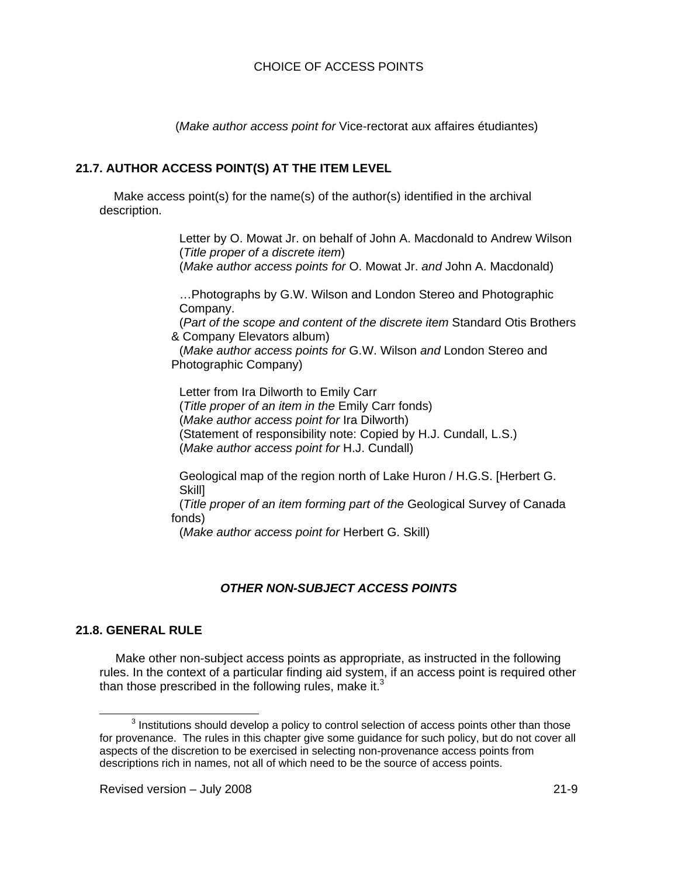(*Make author access point for* Vice-rectorat aux affaires étudiantes)

## **21.7. AUTHOR ACCESS POINT(S) AT THE ITEM LEVEL**

Make access point(s) for the name(s) of the author(s) identified in the archival description.

> Letter by O. Mowat Jr. on behalf of John A. Macdonald to Andrew Wilson (*Title proper of a discrete item*) (*Make author access points for* O. Mowat Jr. *and* John A. Macdonald)

…Photographs by G.W. Wilson and London Stereo and Photographic Company.

(*Part of the scope and content of the discrete item* Standard Otis Brothers & Company Elevators album)

(*Make author access points for* G.W. Wilson *and* London Stereo and Photographic Company)

Letter from Ira Dilworth to Emily Carr (*Title proper of an item in the* Emily Carr fonds) (*Make author access point for* Ira Dilworth) (Statement of responsibility note: Copied by H.J. Cundall, L.S.) (*Make author access point for* H.J. Cundall)

Geological map of the region north of Lake Huron / H.G.S. [Herbert G. Skill]

(*Title proper of an item forming part of the* Geological Survey of Canada fonds)

(*Make author access point for* Herbert G. Skill)

## *OTHER NON-SUBJECT ACCESS POINTS*

## **21.8. GENERAL RULE**

Make other non-subject access points as appropriate, as instructed in the following rules. In the context of a particular finding aid system, if an access point is required other than those prescribed in the following rules, make it.<sup>3</sup>

 $\overline{\phantom{0}}$  3  $3$  Institutions should develop a policy to control selection of access points other than those for provenance. The rules in this chapter give some guidance for such policy, but do not cover all aspects of the discretion to be exercised in selecting non-provenance access points from descriptions rich in names, not all of which need to be the source of access points.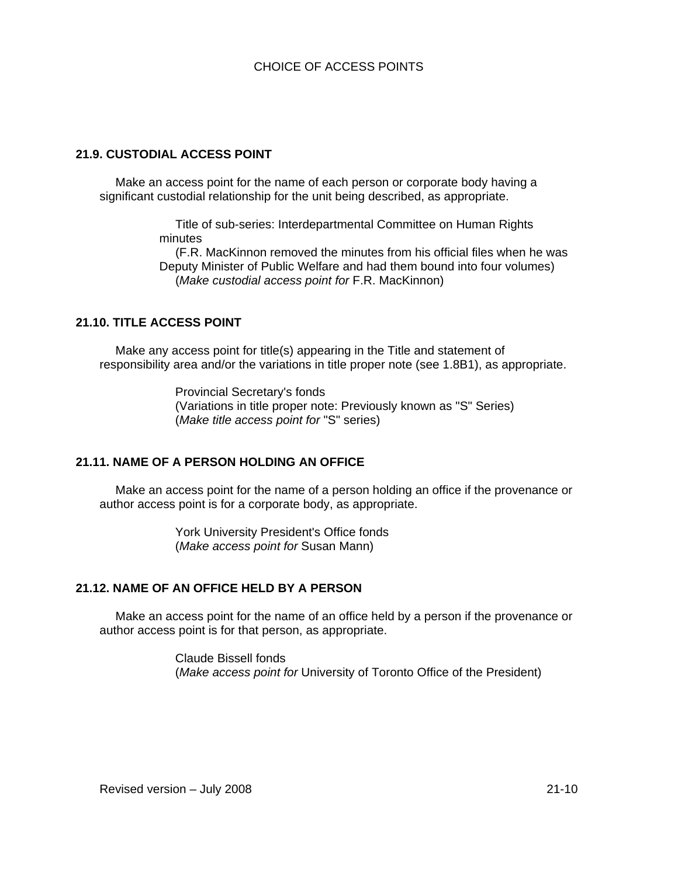## **21.9. CUSTODIAL ACCESS POINT**

Make an access point for the name of each person or corporate body having a significant custodial relationship for the unit being described, as appropriate.

> Title of sub-series: Interdepartmental Committee on Human Rights minutes

(F.R. MacKinnon removed the minutes from his official files when he was Deputy Minister of Public Welfare and had them bound into four volumes) (*Make custodial access point for* F.R. MacKinnon)

## **21.10. TITLE ACCESS POINT**

Make any access point for title(s) appearing in the Title and statement of responsibility area and/or the variations in title proper note (see 1.8B1), as appropriate.

> Provincial Secretary's fonds (Variations in title proper note: Previously known as "S" Series) (*Make title access point for* "S" series)

## **21.11. NAME OF A PERSON HOLDING AN OFFICE**

Make an access point for the name of a person holding an office if the provenance or author access point is for a corporate body, as appropriate.

> York University President's Office fonds (*Make access point for* Susan Mann)

## **21.12. NAME OF AN OFFICE HELD BY A PERSON**

Make an access point for the name of an office held by a person if the provenance or author access point is for that person, as appropriate.

> Claude Bissell fonds (*Make access point for* University of Toronto Office of the President)